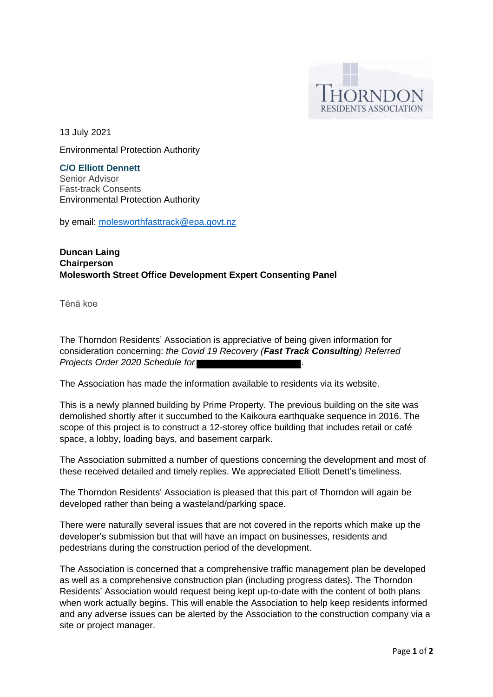

13 July 2021

Environmental Protection Authority

**C/O Elliott Dennett**  Senior Advisor Fast-track Consents Environmental Protection Authority

by email: [molesworthfasttrack@epa.govt.nz](mailto:molesworthfasttrack@epa.govt.nz)

## **Duncan Laing Chairperson Molesworth Street Office Development Expert Consenting Panel**

Tēnā koe

The Thorndon Residents' Association is appreciative of being given information for consideration concerning: *the Covid 19 Recovery (Fast Track Consulting) Referred Projects Order 2020 Schedule for .*

The Association has made the information available to residents via its website.

This is a newly planned building by Prime Property. The previous building on the site was demolished shortly after it succumbed to the Kaikoura earthquake sequence in 2016. The scope of this project is to construct a 12-storey office building that includes retail or café space, a lobby, loading bays, and basement carpark.

The Association submitted a number of questions concerning the development and most of these received detailed and timely replies. We appreciated Elliott Denett's timeliness.

The Thorndon Residents' Association is pleased that this part of Thorndon will again be developed rather than being a wasteland/parking space.

There were naturally several issues that are not covered in the reports which make up the developer's submission but that will have an impact on businesses, residents and pedestrians during the construction period of the development.

The Association is concerned that a comprehensive traffic management plan be developed as well as a comprehensive construction plan (including progress dates). The Thorndon Residents' Association would request being kept up-to-date with the content of both plans when work actually begins. This will enable the Association to help keep residents informed and any adverse issues can be alerted by the Association to the construction company via a site or project manager.